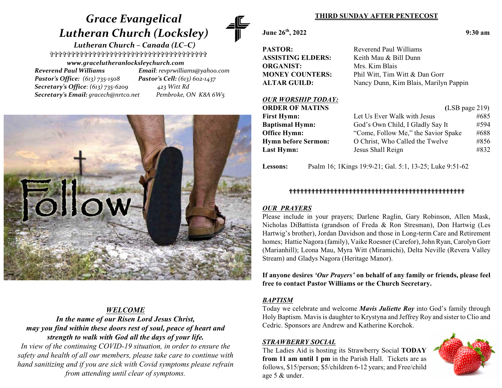# *Grace Evangelical Lutheran Church (Locksley)*

 *Lutheran Church – Canada (LC–C)* \_\_\_\_\_\_\_\_\_\_\_\_\_\_\_\_\_\_\_\_\_\_\_\_\_\_\_\_\_\_\_\_\_\_\_\_\_

*www.gracelutheranlocksleychurch.com Reverend Paul Williams Email: revprwilliams@yahoo.com Pastor's Office: (613) 735-1508 Pastor's Cell: (613) 602-1437 Secretary's Office: (613) 735-6209 423 Witt Rd Secretary's Email: gracech@nrtco.net Pembroke, ON K8A 6W5*



# *WELCOME*

*In the name of our Risen Lord Jesus Christ, may you find within these doors rest of soul, peace of heart and strength to walk with God all the days of your life.*

*In view of the continuing COVID-19 situation, in order to ensure the safety and health of all our members, please take care to continue with hand sanitizing and if you are sick with Covid symptoms please refrain from attending until clear of symptoms.*

## **THIRD SUNDAY AFTER PENTECOST**

**June 26th**

**PASTOR:** Reverend Paul Williams **ORGANIST:** Mrs. Kim Blais

# **ASSISTING ELDERS:** Keith Mau & Bill Dunn **MONEY COUNTERS:** Phil Witt, Tim Witt & Dan Gorr **ALTAR GUILD:** Nancy Dunn, Kim Blais, Marilyn Pappin

#### *OUR WORSHIP TODAY:* **ORDER OF MATINS** (LSB page 219) **First Hymn:** Let Us Ever Walk with Jesus #685 **Baptismal Hymn:** God's Own Child, I Gladly Say It #594 **Office Hymn:** "Come, Follow Me," the Savior Spake #688 **Hymn before Sermon:** O Christ, Who Called the Twelve #856 **Last Hymn:** Jesus Shall Reign #832

**Lessons:** Psalm 16; 1Kings 19:9-21; Gal. 5:1, 13-25; Luke 9:51-62

# ```````````````````````````````````````````````

# *OUR PRAYERS*

Please include in your prayers; Darlene Raglin, Gary Robinson, Allen Mask, Nicholas DiBattista (grandson of Freda & Ron Stresman), Don Hartwig (Les Hartwig's brother), Jordan Davidson and those in Long-term Care and Retirement homes; Hattie Nagora (family), Vaike Roesner (Carefor), John Ryan, Carolyn Gorr (Marianhill); Leona Mau, Myra Witt (Miramichi), Delta Neville (Revera Valley Stream) and Gladys Nagora (Heritage Manor).

**If anyone desires** *'Our Prayers'* **on behalf of any family or friends, please feel free to contact Pastor Williams or the Church Secretary.**

### *BAPTISM*

Today we celebrate and welcome *Mavis Juliette Roy* into God's family through Holy Baptism. Mavis is daughter to Krystyna and Jeffrey Roy and sister to Clio and Cedric. Sponsors are Andrew and Katherine Korchok.

### *STRAWBERRY SOCIAL*

The Ladies Aid is hosting its Strawberry Social **TODAY from 11 am until 1 pm** in the Parish Hall. Tickets are as follows, \$15/person; \$5/children 6-12 years; and Free/child age 5 & under.



**, 2022 9:30 am**